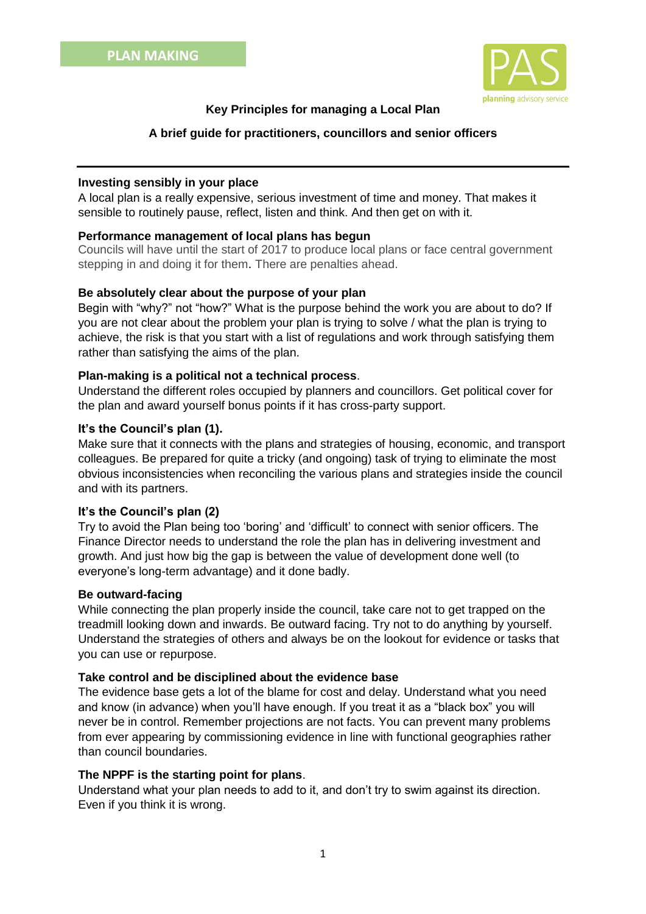

# **Key Principles for managing a Local Plan**

# **A brief guide for practitioners, councillors and senior officers**

## **Investing sensibly in your place**

A local plan is a really expensive, serious investment of time and money. That makes it sensible to routinely pause, reflect, listen and think. And then get on with it.

# **Performance management of local plans has begun**

Councils will have until the start of 2017 to produce local plans or face central government stepping in and doing it for them. There are penalties ahead.

## **Be absolutely clear about the purpose of your plan**

Begin with "why?" not "how?" What is the purpose behind the work you are about to do? If you are not clear about the problem your plan is trying to solve / what the plan is trying to achieve, the risk is that you start with a list of regulations and work through satisfying them rather than satisfying the aims of the plan.

## **Plan-making is a political not a technical process**.

Understand the different roles occupied by planners and councillors. Get political cover for the plan and award yourself bonus points if it has cross-party support.

## **It's the Council's plan (1).**

Make sure that it connects with the plans and strategies of housing, economic, and transport colleagues. Be prepared for quite a tricky (and ongoing) task of trying to eliminate the most obvious inconsistencies when reconciling the various plans and strategies inside the council and with its partners.

# **It's the Council's plan (2)**

Try to avoid the Plan being too 'boring' and 'difficult' to connect with senior officers. The Finance Director needs to understand the role the plan has in delivering investment and growth. And just how big the gap is between the value of development done well (to everyone's long-term advantage) and it done badly.

### **Be outward-facing**

While connecting the plan properly inside the council, take care not to get trapped on the treadmill looking down and inwards. Be outward facing. Try not to do anything by yourself. Understand the strategies of others and always be on the lookout for evidence or tasks that you can use or repurpose.

# **Take control and be disciplined about the evidence base**

The evidence base gets a lot of the blame for cost and delay. Understand what you need and know (in advance) when you'll have enough. If you treat it as a "black box" you will never be in control. Remember projections are not facts. You can prevent many problems from ever appearing by commissioning evidence in line with functional geographies rather than council boundaries.

# **The NPPF is the starting point for plans**.

Understand what your plan needs to add to it, and don't try to swim against its direction. Even if you think it is wrong.